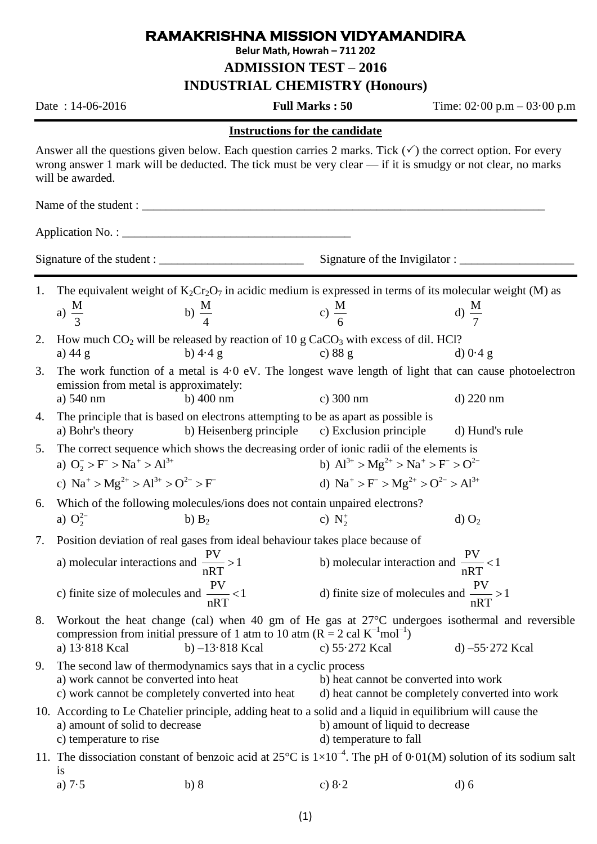## **RAMAKRISHNA MISSION VIDYAMANDIRA**

**Belur Math, Howrah – 711 202**

**ADMISSION TEST – 2016**

**INDUSTRIAL CHEMISTRY (Honours)**

Date : 14-06-2016 **Full Marks : 50** Time: 02·00 p.m – 03·00 p.m

d)  $O<sub>2</sub>$ 

## **Instructions for the candidate**

Answer all the questions given below. Each question carries 2 marks. Tick  $(\checkmark)$  the correct option. For every wrong answer 1 mark will be deducted. The tick must be very clear — if it is smudgy or not clear, no marks will be awarded.

Name of the student :

Application No. :

Signature of the student : \_\_\_\_\_\_\_\_\_\_\_\_\_\_\_\_\_\_\_\_\_\_\_\_ Signature of the Invigilator : \_\_\_\_\_\_\_\_\_\_\_\_\_\_\_\_\_\_\_

1. The equivalent weight of  $K_2Cr_2O_7$  in acidic medium is expressed in terms of its molecular weight (M) as a)  $\frac{M}{2}$ 3 b)  $\frac{M}{A}$ 4 c)  $\frac{M}{I}$ 6 d)  $\frac{M}{I}$ 7

- 2. How much CO<sub>2</sub> will be released by reaction of 10 g CaCO<sub>3</sub> with excess of dil. HCl?<br>a) 44 g b) 4.4 g c) 88 g d) 0.4 g a) 44 g b) 4.4 g c) 88 g d)  $0.4$  g
- 3. The work function of a metal is 4·0 eV. The longest wave length of light that can cause photoelectron emission from metal is approximately: a) 540 nm b) 400 nm c) 300 nm d) 220 nm
- 4. The principle that is based on electrons attempting to be as apart as possible is a) Bohr's theory b) Heisenberg principle c) Exclusion principle d) Hund's rule

5. The correct sequence which shows the decreasing order of ionic radii of the elements is a)  $O_2^- > F^- > Na^+ > Al^{3+}$ b)  $Al^{3+} > Mg^{2+} > Na^{+} > F^{-} > O^{2-}$ 

- c)  $\text{Na}^+ > \text{Mg}^{2+} > \text{Al}^{3+} > \text{O}^{2-} > \text{F}^$ d)  $\text{Na}^+ > \text{Fe} > \text{Mg}^{2+} > \text{O}^{2-} > \text{Al}^{3+}$
- 6. Which of the following molecules/ions does not contain unpaired electrons? a)  $O_2^{2-}$ b)  $B_2$  $N_2^+$
- 7. Position deviation of real gases from ideal behaviour takes place because of
	- a) molecular interactions and  $\frac{PV}{\sqrt{PR}} > 1$ nRT  $>$ b) molecular interaction and  $\frac{PV}{2\pi} < 1$ nRT  $\lt$ c) finite size of molecules and  $\frac{PV}{2\pi} < 1$ nRT  $\lt$ d) finite size of molecules and  $\frac{PV}{2\pi} > 1$ nRT  $\geq$
- 8. Workout the heat change (cal) when 40 gm of He gas at 27°C undergoes isothermal and reversible compression from initial pressure of 1 atm to 10 atm ( $R = 2$  cal  $K^{-1}$ mol<sup>-1</sup>) a) 13·818 Kcal b) –13·818 Kcal c) 55·272 Kcal d) –55·272 Kcal
- 9. The second law of thermodynamics says that in a cyclic process a) work cannot be converted into heat b) heat cannot be converted into work c) work cannot be completely converted into heat d) heat cannot be completely converted into work
- 10. According to Le Chatelier principle, adding heat to a solid and a liquid in equilibrium will cause the a) amount of solid to decrease b) amount of liquid to decrease c) temperature to rise d) temperature to fall
- 11. The dissociation constant of benzoic acid at  $25^{\circ}$ C is  $1\times10^{-4}$ . The pH of 0.01(M) solution of its sodium salt is a)  $7.5$  b) 8 c)  $8.2$  d) 6